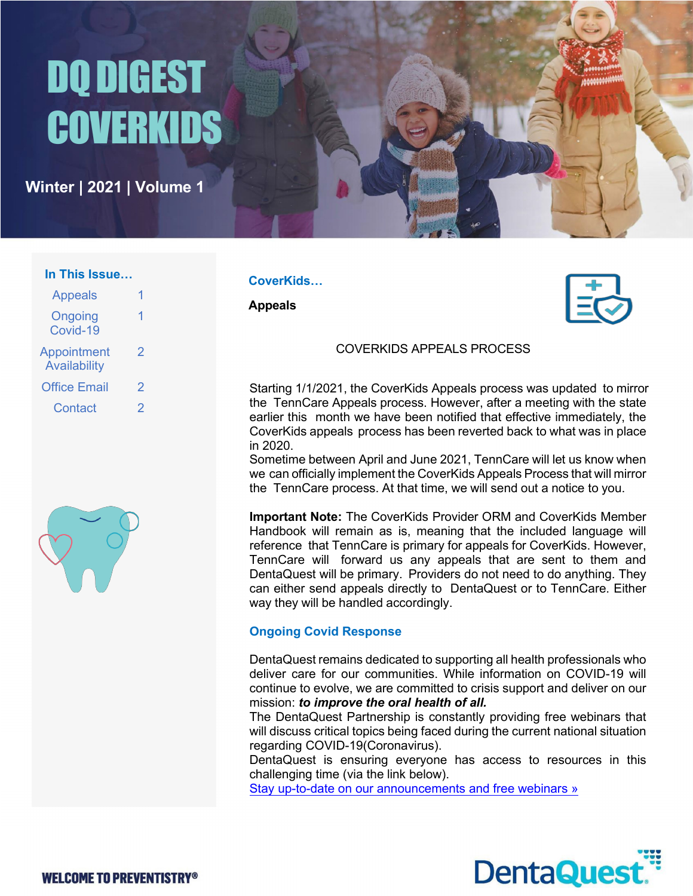# DQ DIGEST **COVERKIDS**

**Winter | 2021 | Volume 1**

#### **In This Issue…**

| <b>Appeals</b>                            |   |
|-------------------------------------------|---|
| Ongoing<br>Covid-19                       | 1 |
| <b>Appointment</b><br><b>Availability</b> | 2 |
| <b>Office Email</b>                       | 2 |
| Contact                                   | 2 |



### **CoverKids…**

**Appeals**



## COVERKIDS APPEALS PROCESS

Starting 1/1/2021, the CoverKids Appeals process was updated to mirror the TennCare Appeals process. However, after a meeting with the state earlier this month we have been notified that effective immediately, the CoverKids appeals process has been reverted back to what was in place in 2020.

Sometime between April and June 2021, TennCare will let us know when we can officially implement the CoverKids Appeals Process that will mirror the TennCare process. At that time, we will send out a notice to you.

**Important Note:** The CoverKids Provider ORM and CoverKids Member Handbook will remain as is, meaning that the included language will reference that TennCare is primary for appeals for CoverKids. However, TennCare will forward us any appeals that are sent to them and DentaQuest will be primary. Providers do not need to do anything. They can either send appeals directly to DentaQuest or to TennCare. Either way they will be handled accordingly.

# **Ongoing Covid Response**

DentaQuest remains dedicated to supporting all health professionals who deliver care for our communities. While information on COVID-19 will continue to evolve, we are committed to crisis support and deliver on our mission: *to improve the oral health of all.*

The DentaQuest Partnership is constantly providing free webinars that will discuss critical topics being faced during the current national situation regarding COVID-19(Coronavirus).

DentaQuest is ensuring everyone has access to resources in this challenging time (via the link below).

Stay up-to-date on our announcements and free webinars »